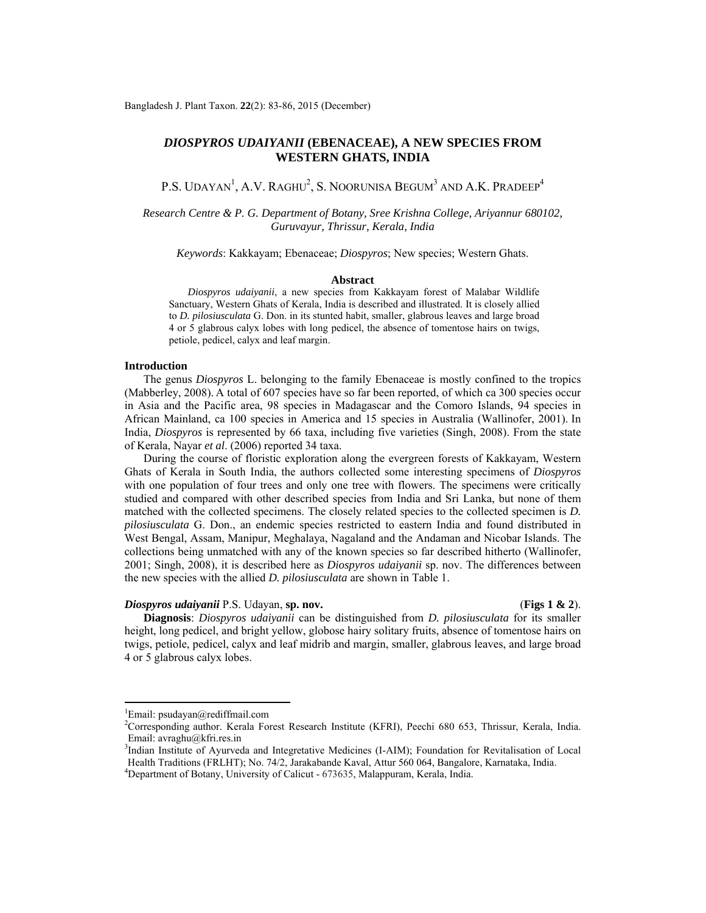# *DIOSPYROS UDAIYANII* **(EBENACEAE), A NEW SPECIES FROM WESTERN GHATS, INDIA**

P.S. UDAYAN<sup>1</sup>, A.V. RAGHU<sup>2</sup>, S. NOORUNISA BEGUM<sup>3</sup> AND A.K. PRADEEP<sup>4</sup>

*Research Centre & P. G. Department of Botany, Sree Krishna College, Ariyannur 680102, Guruvayur, Thrissur, Kerala, India* 

*Keywords*: Kakkayam; Ebenaceae; *Diospyros*; New species; Western Ghats.

#### **Abstract**

 *Diospyros udaiyanii*, a new species from Kakkayam forest of Malabar Wildlife Sanctuary, Western Ghats of Kerala, India is described and illustrated. It is closely allied to *D. pilosiusculata* G. Don. in its stunted habit, smaller, glabrous leaves and large broad 4 or 5 glabrous calyx lobes with long pedicel, the absence of tomentose hairs on twigs, petiole, pedicel, calyx and leaf margin.

### **Introduction**

 The genus *Diospyros* L. belonging to the family Ebenaceae is mostly confined to the tropics (Mabberley, 2008). A total of 607 species have so far been reported, of which ca 300 species occur in Asia and the Pacific area, 98 species in Madagascar and the Comoro Islands, 94 species in African Mainland, ca 100 species in America and 15 species in Australia (Wallinofer, 2001). In India, *Diospyros* is represented by 66 taxa, including five varieties (Singh, 2008). From the state of Kerala, Nayar *et al*. (2006) reported 34 taxa.

 During the course of floristic exploration along the evergreen forests of Kakkayam, Western Ghats of Kerala in South India, the authors collected some interesting specimens of *Diospyros*  with one population of four trees and only one tree with flowers. The specimens were critically studied and compared with other described species from India and Sri Lanka, but none of them matched with the collected specimens. The closely related species to the collected specimen is *D*. *pilosiusculata* G. Don., an endemic species restricted to eastern India and found distributed in West Bengal, Assam, Manipur, Meghalaya, Nagaland and the Andaman and Nicobar Islands. The collections being unmatched with any of the known species so far described hitherto (Wallinofer, 2001; Singh, 2008), it is described here as *Diospyros udaiyanii* sp. nov. The differences between the new species with the allied *D. pilosiusculata* are shown in Table 1.

#### *Diospyros udaiyanii* P.S. Udayan, **sp. nov.** (**Figs 1 & 2**).

 **Diagnosis**: *Diospyros udaiyanii* can be distinguished from *D. pilosiusculata* for its smaller height, long pedicel, and bright yellow, globose hairy solitary fruits, absence of tomentose hairs on twigs, petiole, pedicel, calyx and leaf midrib and margin, smaller, glabrous leaves, and large broad 4 or 5 glabrous calyx lobes.

<sup>&</sup>lt;sup>1</sup>Email: psudayan@rediffmail.com

<sup>2</sup> Corresponding author. Kerala Forest Research Institute (KFRI), Peechi 680 653, Thrissur, Kerala, India. Email: avraghu@kfri.res.in

<sup>&</sup>lt;sup>3</sup>Indian Institute of Ayurveda and Integretative Medicines (I-AIM); Foundation for Revitalisation of Local Health Traditions (FRLHT); No. 74/2, Jarakabande Kaval, Attur 560 064, Bangalore, Karnataka, India. 4

Department of Botany, University of Calicut - 673635, Malappuram, Kerala, India.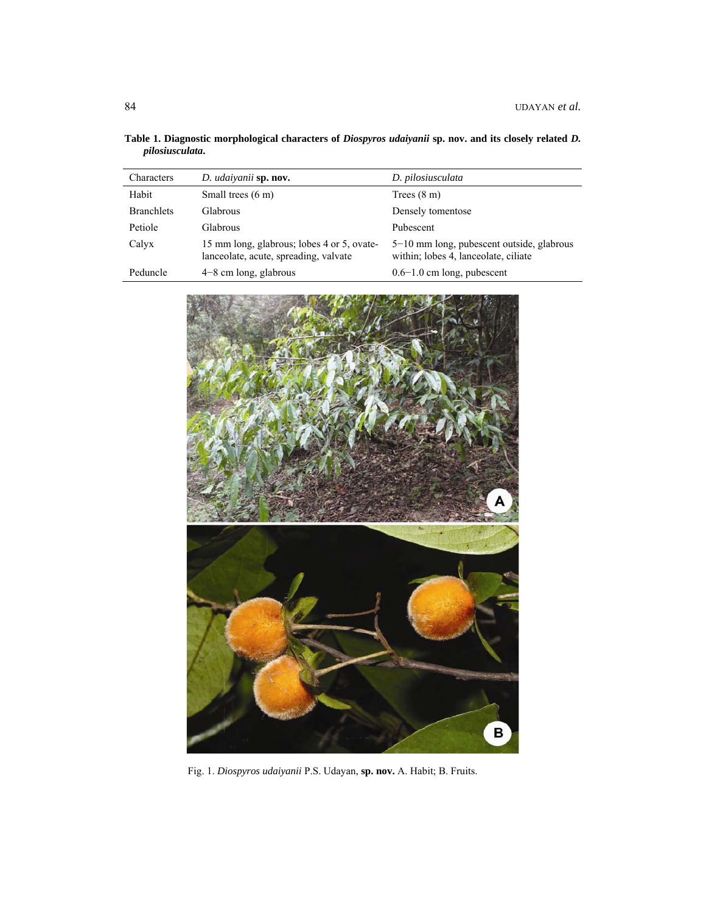| Characters        | D. udaiyanii sp. nov.                                                               | D. pilosiusculata                                                                 |
|-------------------|-------------------------------------------------------------------------------------|-----------------------------------------------------------------------------------|
| Habit             | Small trees $(6 \text{ m})$                                                         | Trees $(8 \text{ m})$                                                             |
| <b>Branchlets</b> | Glabrous                                                                            | Densely tomentose                                                                 |
| Petiole           | <b>Glabrous</b>                                                                     | Pubescent                                                                         |
| Calyx             | 15 mm long, glabrous; lobes 4 or 5, ovate-<br>lanceolate, acute, spreading, valvate | 5-10 mm long, pubescent outside, glabrous<br>within; lobes 4, lanceolate, ciliate |
| Peduncle          | $4-8$ cm long, glabrous                                                             | $0.6-1.0$ cm long, pubescent                                                      |

**Table 1. Diagnostic morphological characters of** *Diospyros udaiyanii* **sp. nov. and its closely related** *D. pilosiusculata***.** 



Fig. 1. *Diospyros udaiyanii* P.S. Udayan, **sp. nov.** A. Habit; B. Fruits.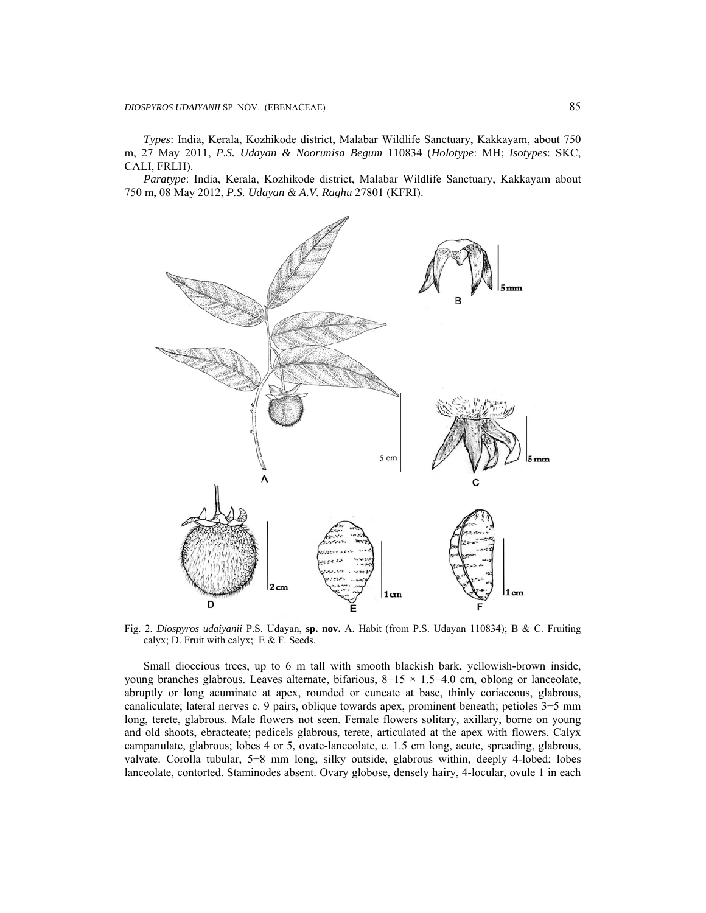*Types*: India, Kerala, Kozhikode district, Malabar Wildlife Sanctuary, Kakkayam, about 750 m, 27 May 2011, *P.S. Udayan & Noorunisa Begum* 110834 (*Holotype*: MH; *Isotypes*: SKC, CALI, FRLH).

 *Paratype*: India, Kerala, Kozhikode district, Malabar Wildlife Sanctuary, Kakkayam about 750 m, 08 May 2012, *P.S. Udayan & A.V. Raghu* 27801 (KFRI).



Fig. 2. *Diospyros udaiyanii* P.S. Udayan, **sp. nov.** A. Habit (from P.S. Udayan 110834); B & C. Fruiting calyx; D. Fruit with calyx; E  $&$  F. Seeds.

 Small dioecious trees, up to 6 m tall with smooth blackish bark, yellowish-brown inside, young branches glabrous. Leaves alternate, bifarious, 8−15 × 1.5−4.0 cm, oblong or lanceolate, abruptly or long acuminate at apex, rounded or cuneate at base, thinly coriaceous, glabrous, canaliculate; lateral nerves c. 9 pairs, oblique towards apex, prominent beneath; petioles 3−5 mm long, terete, glabrous. Male flowers not seen. Female flowers solitary, axillary, borne on young and old shoots, ebracteate; pedicels glabrous, terete, articulated at the apex with flowers. Calyx campanulate, glabrous; lobes 4 or 5, ovate-lanceolate, c. 1.5 cm long, acute, spreading, glabrous, valvate. Corolla tubular, 5−8 mm long, silky outside, glabrous within, deeply 4-lobed; lobes lanceolate, contorted. Staminodes absent. Ovary globose, densely hairy, 4-locular, ovule 1 in each